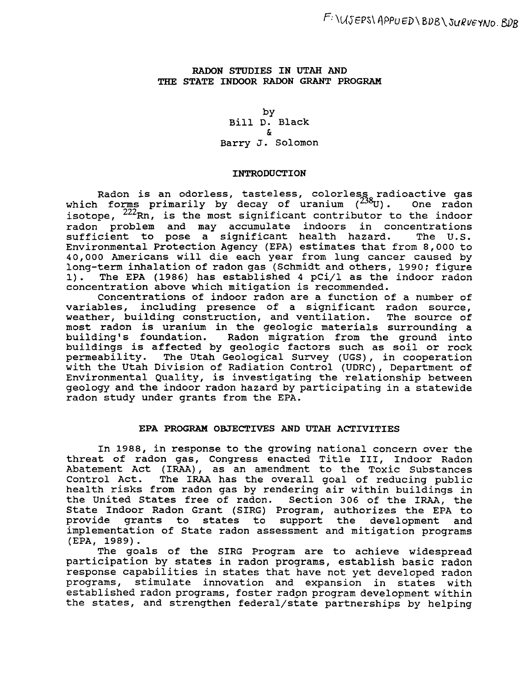## RADON STUDIES IN UTAH AND THE STATE INDOOR RADON GRANT PROGRAM

by Bill D. Black & Barry J. Solomon

#### INTRODUCTION

Radon is an odorless, tasteless, colorless, radioactive gas which forms primarily by decay of uranium *(<sup>23</sup>*80). One radon which forms primarily by decay of uranium  $(2^{30}U)$ . One radon<br>isotope,  $2^{22}Rn$ , is the most significant contributor to the indoor radon problem and may accumulate indoors in concentrations<br>sufficient to pose a significant health hazard. The U.S. sufficient to pose a significant health hazard. Environmental Protection Agency (EPA) estimates that from 8,000 to 40,000 Americans will die each year from lung cancer caused by long-term inhalation of radon gas (Schmidt and others, 1990; figure<br>1). The EPA (1986) has established 4 pCi/l as the indoor radon The EPA (1986) has established 4  $pci/1$  as the indoor radon concentration above which mitigation is recommended.

Concentrations of indoor radon are a function of a number of variables, including presence of a significant radon source, weather, building construction, and ventilation. The source of most radon is uranium in the geologic materials surrounding a building's foundation. Radon migration from the ground into buildings is affected by geologic factors such as soil or rock permeability. The Utah Geological Survey (UGS), in cooperation with the Utah Division of Radiation Control (UDRC), Department of Environmental Quality, is investigating the relationship between geology and the indoor radon hazard by participating in a statewide radon study under grants from the EPA.

## EPA PROGRAM OBJECTIVES AND UTAH ACTIVITIES

In 1988, in response to the growing national concern over the threat of radon gas, Congress enacted Title III, Indoor Radon Abatement Act (IRAA), as an amendment to the Toxic Substances The IRAA has the overall goal of reducing public health risks from radon gas by rendering air within buildings in the united states free of radon. Section 306 of the lRAA, the State Indoor Radon Grant (SIRG) Program, authorizes the EPA to provide grants to states to support the development and implementation of State radon assessment and mitigation programs (EPA, 1989).

The goals of the SIRG Program are to achieve widespread participation by states in radon programs, establish basic radon response capabilities in states that have not yet developed radon programs, stimulate innovation and expansion in states with established radon programs, foster radon program development within the states, and strengthen federal/state partnerships by helping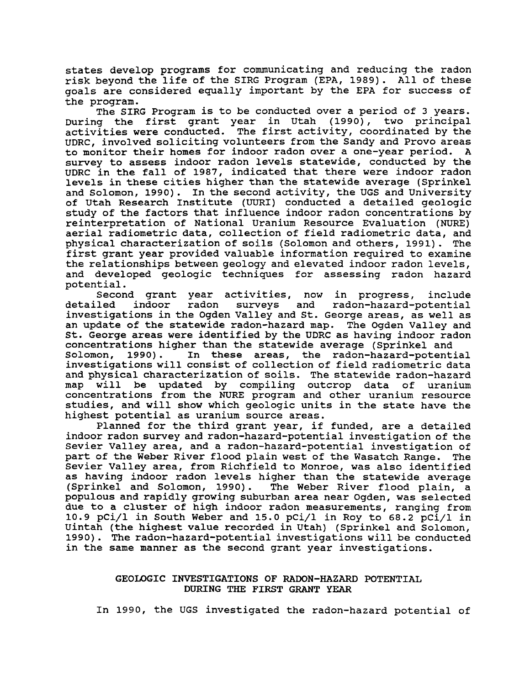states develop programs for communicating and reducing the radon risk beyond the life of the SIRG Program (EPA, 1989). All of these goals are considered equally important by the EPA for success of the program.

The SIRG Program is to be conducted over a period of 3 years. During the first grant year in utah (1990), two principal activities were conducted. The first activity, coordinated by the UDRC, involved soliciting volunteers from the Sandy and Provo areas to monitor their homes for indoor radon over a one-year period. A survey to assess indoor radon levels statewide, conducted by the UDRC in the fall of 1987, indicated that there were indoor radon levels in these cities higher than the statewide average (Sprinkel and Solomon, 1990). In the second activity, the UGS and University of Utah Research Institute (UURI) conducted a detailed geologic study of the factors that influence indoor radon concentrations by reinterpretation of National Uranium Resource Evaluation (NURE) aerial radiometric data, collection of field radiometric data, and physical characterization of soils (Solomon and others, 1991). The first grant year provided valuable information required to examine the relationships between geology and elevated indoor radon levels, and developed geologic techniques for assessing radon hazard potential.

Second grant year activities, now in progress, include<br>detailed indoor radon surveys and radon-hazard-potential radon-hazard-potential investigations in the Ogden Valley and st. George areas, as well as an update of the statewide radon-hazard map. The Ogden Valley and st. George areas were identified by the UDRC as having indoor radon concentrations higher than the statewide average (Sprinkel and<br>Solomon, 1990). In these areas, the radon-hazard-potent In these areas, the radon-hazard-potential investigations will consist of collection of field radiometric data and physical characterization of soils. The statewide radon-hazard be updated by compiling outcrop data of uranium concentrations from the NURE program and other uranium resource studies, and will show which geologic units in the state have the highest potential as uranium source areas.

Planned for the third grant year, if funded, are a detailed indoor radon survey and radon-hazard-potential investigation of the Sevier Valley area, and a radon-hazard-potential investigation of part of the Weber River flood plain west of the Wasatch Range. The Sevier Valley area, from Richfield to Monroe, was also identified as having indoor radon levels higher than the statewide average<br>(Sprinkel and Solomon, 1990). The Weber River flood plain, a The Weber River flood plain, a populous and rapidly growing suburban area near Ogden, was selected due to a cluster of high indoor radon measurements, ranging from 10.9 pCi/1 in South Weber and 15.0 pCi/1 in Roy to 68.2 pCi/1 in Uintah (the highest value recorded in Utah) (Sprinkel and Solomon, 1990). The radon-hazard-potential investigations will be conducted in the same manner as the second grant year investigations.

## GEOLOGIC INVESTIGATIONS OF RADON-HAZARD POTENTIAL DURING THE FIRST GRANT YEAR

In 1990, the UGS investigated the radon-hazard potential of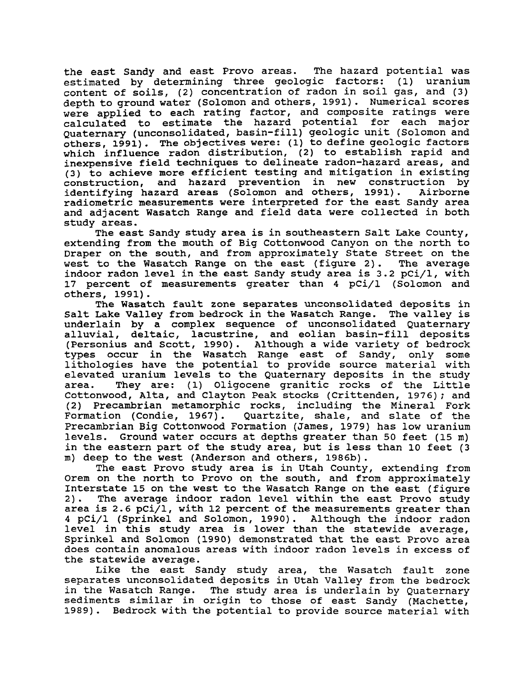the east Sandy and east Provo areas. The hazard potential was estimated by determining three geologic factors: (1) uranium content of soils, (2) concentration of radon in soil gas, and (3) depth to ground water (Solomon and others, 1991). Numerical scores were applied to each rating factor, and composite ratings were calculated to estimate the hazard potential for each major Quaternary (unconsolidated, basin-fill) geologic unit (Solomon and  $o$ thers, 1991). The objectives were: (1) to define geologic factors which influence radon distribution, (2) to establish rapid and inexpensive field techniques to delineate radon-hazard areas, and (3) to achieve more efficient testing and mitigation in existing construction, and hazard prevention in new construction by identifying hazard areas (Solomon and others, 1991). Airborne radiometric measurements were interpreted for the east Sandy area and adjacent Wasatch Range and field data were collected in both study areas.

The east Sandy study area is in southeastern Salt Lake County, extending from the mouth of Big Cottonwood Canyon on the north to Draper on the south, and from approximately state street on the west to the Wasatch Range on the east (figure 2). The average indoor radon level in the east Sandy study area is 3.2 pCi/I, with 17 percent of measurements greater than 4 pCi/1 (Solomon and others, 1991).

The Wasatch fault zone separates unconsolidated deposits in Salt Lake Valley from bedrock in the Wasatch Range. The valley is underlain by a complex sequence of unconsolidated Quaternary alluvial, deltaic, lacustrine, and eolian basin-fill deposits (Personius and Scott, 1990). Although a wide variety of bedrock types occur in the Wasatch Range east of Sandy, only some lithologies have the potential to provide source material with elevated uranium levels to the Quaternary deposits in the study<br>area. They are: (1) Oligocene granitic rocks of the Little They are: (1) Oligocene granitic rocks of the Little Cottonwood, Alta, and Clayton Peak stocks (Crittenden, 1976) *i* and (2) Precambrian metamorphic rocks, including the Mineral Fork Formation (Condie, 1967). Quartzite, shale, and slate of the Precambrian Big Cottonwood Formation (James, 1979) has low uranium levels. Ground water occurs at depths greater than 50 feet (15 m) in the eastern part of the study area, but is less than 10 feet (3 m) deep to the west (Anderson and others, 1986b).

The east Provo study area is in utah County, extending from Orem on the north to Provo on the south, and from approximately Interstate 15 on the west to the Wasatch Range on the east (figure<br>2). The average indoor radon level within the east Provo study The average indoor radon level within the east Provo study area is 2.6 pCi/l, with 12 percent of the measurements greater than 4 pCi/l (Sprinkel and Solomon, 1990). Although the indoor radon level in this study area is lower than the statewide average, Sprinkel and Solomon (1990) demonstrated that the east Provo area does contain anomalous areas with indoor radon levels in excess of the statewide average.

Like the east Sandy study area, the Wasatch fault zone separates unconsolidated deposits in utah Valley from the bedrock in the Wasatch Range. The study area is underlain by Quaternary sediments similar in origin to those of east Sandy (Machette, 1989). Bedrock with the potential to provide source material with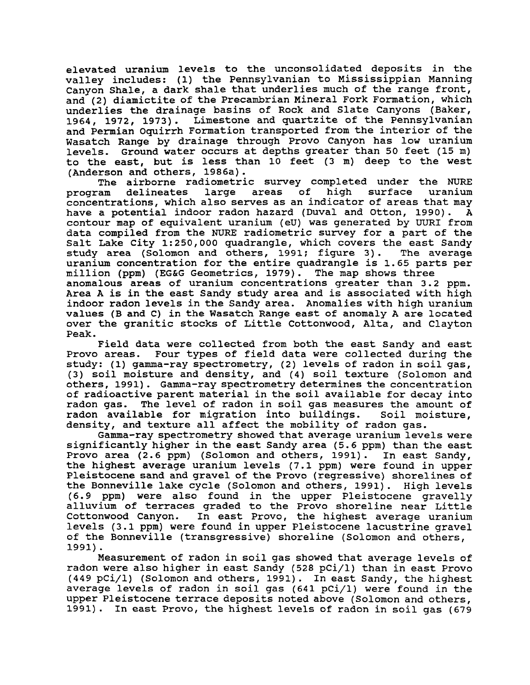elevated uranium levels to the unconsolidated deposits in the valley includes: (1) the Pennsylvanian to Mississippian Manning Canyon Shale, a dark shale that underlies much of the range front, and (2) diamictite of the Precambrian Mineral Fork Formation, which underlies the drainage basins of Rock and Slate Canyons (Baker, 1964, 1972, 1973). Limestone and quartzite of the pennsylvanian and Permian oquirrh Formation transported from the interior of the Wasatch Range by drainage through Provo Canyon has low uranium levels. Ground water occurs at depths greater than 50 feet (15 m) to the east, but is less than 10 feet (3 m) deep to the west (Anderson and others, 1986a).

The airborne radiometric survey completed under the NURE<br>program delineates large areas of high surface uranium large areas of high surface uranium concentrations, which also serves as an indicator of areas that may have a potential indoor radon hazard (Duval and Otton, 1990). A contour map of equivalent uranium (eU) was generated by UURI from data compiled from the NURE radiometric survey for a part of the Salt Lake City 1:250,000 quadrangle, which covers the east Sandy study area (Solomon and others, 1991; figure 3). The average study area (Solomon and others, 1991; figure 3). uranium concentration for the entire quadrangle is 1.65 parts per million (ppm) (EG&G Geometrics, 1979). The map shows three anomalous areas of uranium concentrations greater than 3.2 ppm. Area A is in the east Sandy study area and is associated with high indoor radon levels in the Sandy area. Anomalies with high uranium values (B and C) in the Wasatch Range east of anomaly A are located over the granitic stocks of Little Cottonwood, Alta, and Clayton

Peak.

Field data were collected from both the east Sandy and east Provo areas. Four types of field data were collected during the study: (1) gamma-ray spectrometry, (2) levels of radon in soil gas, (3) soil moisture and density, and (4) soil texture (Solomon and others, 1991). Gamma-ray spectrometry determines the concentration of radioactive parent material in the soil available for decay into radon gas. The level of radon in soil gas measures the amount of<br>radon available for migration into buildings. Soil moisture, radon available for migration into buildings. density, and texture all affect the mobility of radon gas.

Gamma-ray spectrometry showed that average uranium levels were significantly higher in the east Sandy area (5.6 ppm) than the east Provo area (2.6 ppm) (Solomon and others, 1991). In east Sandy, the highest average uranium levels (7.1 ppm) were found in upper Pleistocene sand and gravel of the Provo (regressive) shorelines of the Bonneville lake cycle (Solomon and others, 1991). High levels (6.9 ppm) were also found in the upper Pleistocene gravelly alluvium of terraces graded to the Provo shoreline near Little<br>Cottonwood Canyon. In east Provo, the highest average uranium In east Provo, the highest average uranium levels (3.1 ppm) were found in upper Pleistocene lacustrine gravel of the Bonneville (transgressive) shoreline (Solomon and others, 1991) .

Measurement of radon in soil gas showed that average levels of radon were also higher in east Sandy (528 pCi/l) than in east Provo (449 pCi/l) (Solomon and others, 1991). In east Sandy, the highest average levels of radon in soil gas (641 pCi/l) were found in the upper Pleistocene terrace deposits noted above (Solomon and others, 1991). In east Provo, the highest levels of radon in soil gas (679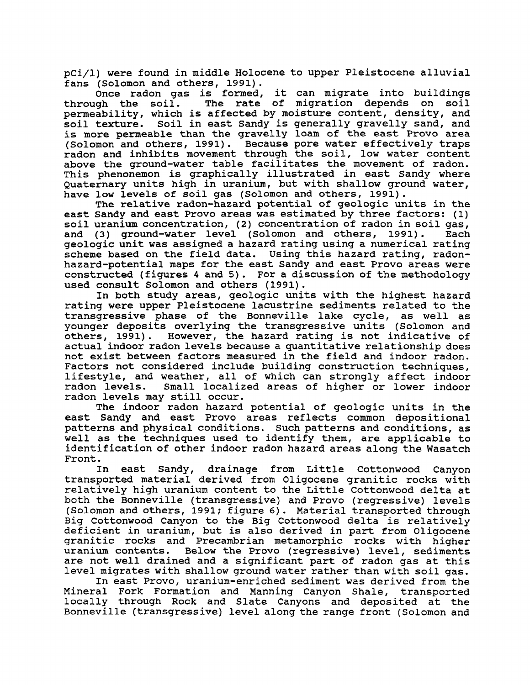pCi/l) were found in middle Holocene to upper Pleistocene alluvial fans (Solomon and others, 1991).

Once radon gas is formed, it can migrate into buildings<br>through the soil. The rate of migration depends on soil The rate of migration depends on soil permeability, which is affected by moisture content, density, and soil texture. Soil in east Sandy is generally gravelly sand, and is more permeable than the gravelly loam of the east Provo area (Solomon and others, 1991). Because pore water effectively traps radon and inhibits movement through the soil, low water content above the ground-water table facilitates the movement of radon. This phenonemon is graphically illustrated in east Sandy where Quaternary units high in uranium, but with shallow ground water, have low levels of soil gas (Solomon and others, 1991).

The relative radon-hazard potential of geologic units *in* the east Sandy and east Provo areas was estimated by three factors: (1) soil uranium concentration, (2) concentration of radon in soil gas,<br>and (3) ground-water level (Solomon and others, 1991). Each and (3) ground-water level (Solomon and others, 1991). geologic unit was assigned a hazard rating using a numerical rating scheme based on the field data. Using this hazard rating, radonhazard-potential maps for the east Sandy and east Provo areas were constructed (figures 4 and 5). For a discussion of the methodology used consult Solomon and others (1991).

In both study areas, geologic units with the highest hazard rating were upper Pleistocene lacustrine sediments related to the transgressive phase of the Bonneville lake cycle, as well as younger deposits overlying the transgressive units (Solomon and others, 1991). However, the hazard rating is not indicative of However, the hazard rating is not indicative of actual indoor radon levels because a quantitative relationship does not exist between factors measured in the field and indoor radon. Factors not considered include building construction techniques, lifestyle, and weather, all of which can strongly affect indoor<br>radon levels. Small localized areas of higher or lower indoor Small localized areas of higher or lower indoor radon levels may still occur.

The indoor radon hazard potential of geologic units in the east Sandy and east Provo areas reflects common depositional patterns and physical conditions. Such patterns and conditions, as well as the techniques used to identify them, are applicable to identification of other indoor radon hazard areas along the Wasatch Front.

In east Sandy, drainage from Little Cottonwood Canyon transported material derived from Oligocene granitic rocks with relatively high uranium content to the Little Cottonwood delta at both the Bonneville (transgressive) and Provo (regressive) levels (Solomon and others, 1991; figure 6). Material transported through Big Cottonwood Canyon to the Big Cottonwood delta is relatively deficient in uranium, but is also derived in part from Oligocene granitic rocks and Precambrian metamorphic rocks with higher Below the Provo (regressive) level, sediments are not well drained and a significant part of radon gas at this level migrates with shallow ground water rather than with soil gas.

In east Provo, uranium-enriched sediment was derived from the Mineral Fork Formation and Manning Canyon Shale, transported locally through Rock and Slate Canyons and deposited at the Bonneville (transgressive) level along the range front (Solomon and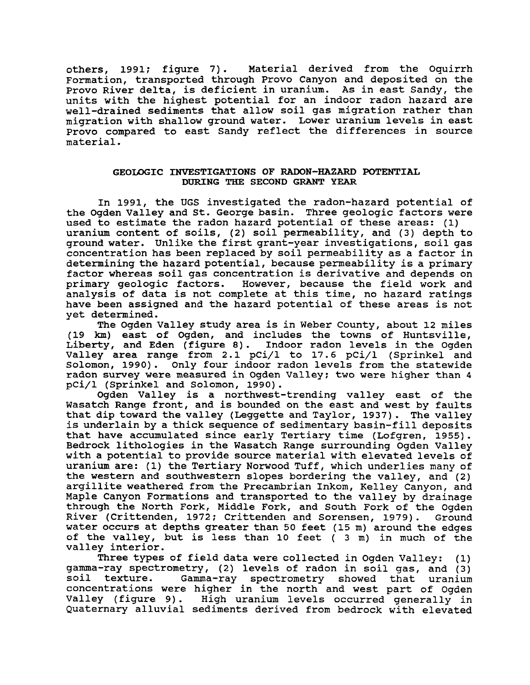others, 1991; figure 7). Material derived from the Oquirrh Formation, transported through Provo Canyon and deposited on the Provo River delta, is deficient in uranium. As in east Sandy, the units with the highest potential for an indoor radon hazard are well-drained sediments that allow soil gas migration rather than migration with shallow ground water. Lower uranium levels in east Provo compared to east Sandy reflect the differences in source material.

## GEOLOGIC INVESTIGATIONS OF RADON-HAZARD POTENTIAL DURING THE SECOND GRANT YEAR

In 1991, the UGS investigated the radon-hazard potential of the Ogden valley and st. George basin. Three geologic factors were used to estimate the radon hazard potential of these areas: (1) uranium content of soils, (2) soil permeability, and (3) depth to ground water. Unlike the first grant-year investigations, soil gas concentration has been replaced by soil permeability as a factor in determining the hazard potential, because permeability is a primary factor whereas soil gas concentration is derivative and depends on primary geologic factors. However, because the field work and However, because the field work and analysis of data is not complete at this time, no hazard ratings have been assigned and the hazard potential of these areas is not yet determined.

The Ogden Valley study area is in Weber County, about 12 miles (19 km) east of Ogden, and includes the towns of Huntsville, Liberty, and Eden (figure 8). Indoor radon levels in the Ogden Valley area range from 2.1 pCi/1 to 17.6 pCi/1 (Sprinkel and solomon, 1990). Only four indoor radon levels from the statewide radon survey were measured in Ogden Valley: two were higher than 4 pCi/1 (Sprinkel and Solomon, 1990).

Ogden Valley is a northwest-trending valley east of the Wasatch Range front, and is bounded on the east and west by faults that dip toward the valley (Leggette and Taylor, 1937). The valley is underlain by a thick sequence of sedimentary basin-fill deposits that have accumulated since early Tertiary time (Lofgren, 1955). Bedrock lithologies in the Wasatch Range surrounding Ogden Valley with a potential to provide source material with elevated levels of uranium are: (1) the Tertiary Norwood Tuff, which underlies many of the western and southwestern slopes bordering the valley, and (2) argillite weathered from the Precambrian Inkom, Kelley Canyon, and Maple Canyon Formations and transported to the valley by drainage through the North Fork, Middle Fork, and south Fork of the Ogden River (Crittenden, 1972; Crittenden and Sorensen, 1979). Ground water occurs at depths greater than 50 feet (15 m) around the edges of the valley, but is less than 10 feet ( 3 m) in much of the valley interior.

Three types of field data were collected in Ogden Valley: (1) gamma-ray spectrometry, (2) levels of radon in soil gas, and (3) soil texture. Gamma-ray spectrometry showed that uranium concentrations were higher in the north and west part of Ogden Valley (figure 9). High uranium levels occurred generally in Quaternary alluvial sediments derived from bedrock with elevated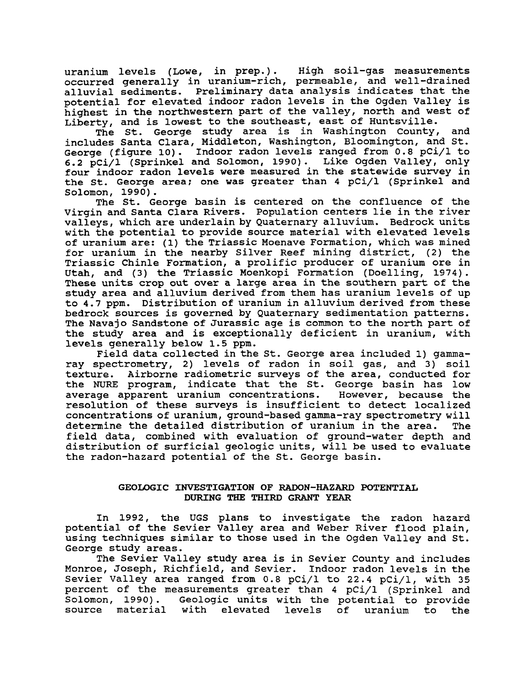uranium levels (Lowe, in prep.). High soil-gas measurements occurred generally in uranium-rich, permeable, and well-drained alluvial sediments. Preliminary data analysis indicates that the potential for elevated indoor radon levels in the Ogden Valley is highest in the northwestern part of the valley, north and west of Liberty, and is lowest to the southeast, east of Huntsville.

The st. George study area is in Washington County, and includes Santa Clara, Middleton, Washington, Bloomington, and st. George (figure 10). Indoor radon levels ranged from 0.8 pCi/l to 6.2 pCi/1 (Sprinkel and Solomon, 1990). Like Ogden Valley, only four indoor radon levels were measured in the statewide survey in the st. George area; one was greater than 4 pCi/1 (Sprinkel and Solomon, 1990).

The st. George basin is centered on the confluence of the virgin and Santa Clara Rivers. Population centers lie in the river valleys, which are underlain by Quaternary alluvium. Bedrock units with the potential to provide source material with elevated levels of uranium are: (1) the Triassic Moenave Formation, which was mined for uranium in the nearby Silver Reef mining district, (2) the Triassic Chinle Formation, a prolific producer of uranium ore in utah, and (3) the Triassic Moenkopi Formation (Doelling, 1974). These units crop out over a large area in the southern part of the study area and alluvium derived from them has uranium levels of up to 4.7 ppm. Distribution of uranium in alluvium derived from these bedrock sources is governed by Quaternary sedimentation patterns. The Navajo Sandstone of Jurassic age is common to the north part of the study area and is exceptionally deficient in uranium, with levels generally below 1.5 ppm.

Field data collected in the st. George area included 1) gammaray spectrometry, 2) levels of radon in soil gas, and 3) soil texture. Airborne radiometric surveys of the area, conducted for the NURE program, indicate that the st. George basin has low average apparent uranium concentrations. resolution of these surveys is insufficient to detect localized concentrations of uranium, ground-based gamma-ray spectrometry will determine the detailed distribution of uranium in the area. field data, combined with evaluation of ground-water depth and distribution of surficial geologic units, will be used to evaluate the radon-hazard potential of the st. George basin.

## GEOLOGIC INVESTIGATION OF RADON-HAZARD POTENTIAL DURING THE THIRD GRANT YEAR

In 1992, the UGS plans to investigate the radon hazard potential of the Sevier Valley area and Weber River flood plain, using techniques similar to those used in the Ogden Valley and st. George study areas.

The Sevier Valley study area is in Sevier County and includes Monroe, Joseph, Richfield, and Sevier. Indoor radon levels in the Sevier Valley area ranged from 0.8 pCi/l to 22.4 pCi/l, with 35 percent of the measurements greater than 4 pCi/l (Sprinkel and Solomon, 1990). Geologic units with the potential to provide source material with elevated levels of uranium to the source material with elevated levels of uranium to the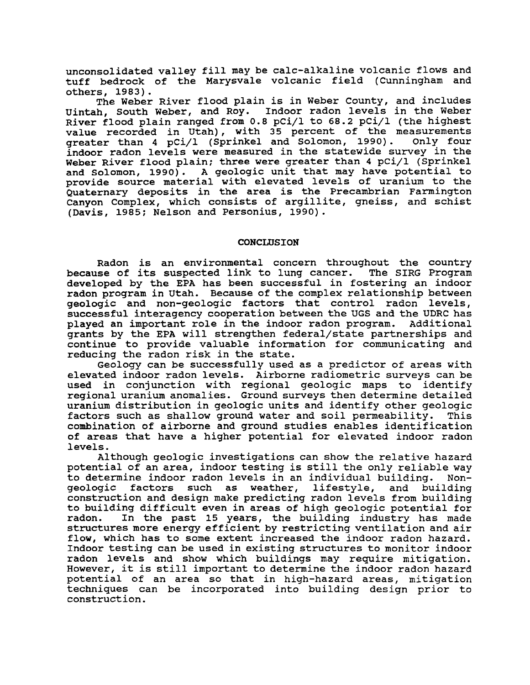unconsolidated valley fill may be calc-alkaline volcanic flows and tuff bedrock of the Marysvale volcanic field (Cunningham and others, 1983).

The Weber River flood plain is in Weber County, and includes uintah, South Weber, and Roy. Indoor radon levels in the Weber River flood plain ranged from 0.8 pCi/1 to 68.2 pCi/1 (the highest value recorded in Utah), with 35 percent of the measurements<br>greater than 4 pCi/l (Sprinkel and Solomon, 1990). Only four greater than 4 pCi/l (Sprinkel and Solomon, 1990). indoor radon levels were measured in the statewide survey in the Weber River flood plain; three were greater than 4 pCi/l (Sprinkel and Solomon, 1990). A geologic unit that may have potential to provide source material with elevated levels of uranium to the Quaternary deposits in the area is the Precambrian Farmington Canyon Complex, which consists of argillite, gneiss, and schist (Davis, 1985: Nelson and Personius, 1990).

#### CONCLUSION

Radon is an environmental concern throughout the country because of its suspected link to lung cancer. The SIRG Program developed by the EPA has been successful in fostering an indoor radon program in utah. Because of the complex relationship between geologic and non-geologic factors that control radon levels, successful interagency cooperation between the UGS and the UDRC has played an important role in the indoor radon program. Additional grants by the EPA will strengthen federal/state partnerships and continue to provide valuable information for communicating and reducing the radon risk in the state.

Geology can be successfully used as a predictor of areas with elevated indoor radon levels. Airborne radiometric surveys can be used in conjunction with regional geologic maps to identify regional uranium anomalies. Ground surveys then determine detailed uranium distribution in geologic units and identify other geologic<br>factors such as shallow ground water and soil permeability. This factors such as shallow ground water and soil permeability. combination of airborne and ground studies enables identification of areas that have a higher potential for elevated indoor radon levels.

Although geologic investigations can show the relative hazard potential of an area, indoor testing is still the only reliable way<br>to determine indoor radon levels in an individual building. Nonto determine indoor radon levels in an individual building. co decerming indoof factors for the in an individual building. Non geologic factors such as weather, lifestyle, and building construction and design make predicting radon levels from building to building difficult even *in* areas of high geologic potential for In the past 15 years, the building industry has made structures more energy efficient by restricting ventilation and air flow, which has to some extent increased the indoor radon hazard. Indoor testing can be used in existing structures to monitor indoor radon levels and show which buildings may require mitigation. However, it is still important to determine the indoor radon hazard potential of an area so that *in* high-hazard areas, mitigation techniques can be incorporated into building design prior to construction.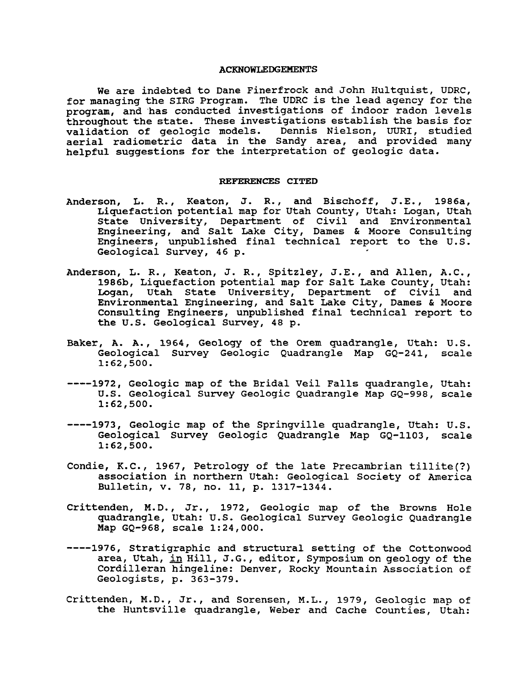#### ACKNOWLEDGEMENTS

We are indebted to Dane Finerfrock and John Hultquist, UDRC, for managing the SIRG Program. The UDRC is the lead agency for the program, and has conducted investigations of indoor radon levels throughout the state. These investigations establish the basis for validation of geologic models. Dennis Nielson, UURI, studied variantion of georogic moders. Dennie hiereen, edit, beauted<br>aerial radiometric data in the Sandy area, and provided many helpful suggestions for the interpretation of geologic data.

#### REFERENCES CITED

- Anderson, L. R., Keaton, J. R., and Bischoff, J.E., 1986a, Liquefaction potential map for Utah County, Utah: Logan, Utah State University, Department of Civil and Environmental Engineering, and Salt Lake City, Dames & Moore Consulting Engineering, and burd line ordy, bumes a noore consureing Geological Survey, 46 p.
- Anderson, L. R., Keaton, J. R., Spitzley, J.E., and Allen, A.C., 1986b, Liquefaction potential map for Salt Lake County, Utah: Logan, Utah State University, Department of Civil and Environmental Engineering, and Salt Lake City, Dames & Moore Consulting Engineers, unpublished final technical report to the U.S. Geological Survey, 48 p.
- Baker, A. A., 1964, Geology of the Orem quadrangle, Utah: U.S. Geological Survey Geologic Quadrangle Map GQ-241, scale 1:62,500.
- ----1972, Geologic map of the Bridal veil Falls quadrangle, Utah: u.S. Geological Survey Geologic Quadrangle Map GQ-998, scale 1:62,500.
- ----1973, Geologic map of the Springville quadrangle, Utah: U.S. Geological Survey Geologic Quadrangle Map GQ-II03, scale 1:62,500.
- Condie, K.C., 1967, Petrology of the late Precambrian tillite(?) association in northern Utah: Geological Society of America Bulletin, v. 78, no. 11, p. 1317-1344.
- Crittenden, M.D., Jr., 1972, Geologic map of the Browns Hole quadrangle, Utah: U.S. Geological Survey Geologic Quadrangle Map GQ-968, scale 1:24,000.
- ----1976, stratigraphic and structural setting of the Cottonwood area, Utah, in Hill, J.G., editor, Symposium on geology of the Cordilleran hingeline: Denver, Rocky Mountain Association of Geologists, p. 363-379.
- Crittenden, M.D., Jr., and Sorensen, M.L., 1979, Geologic map of the Huntsville quadrangle, Weber and Cache counties, Utah: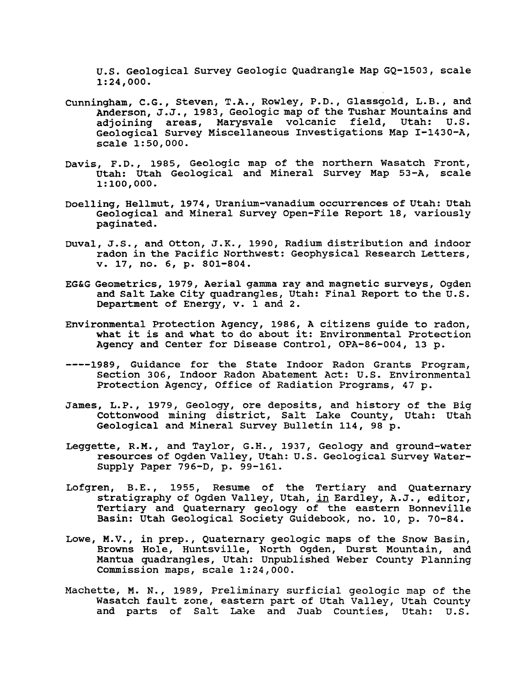u.s. Geological Survey Geologic Quadrangle Map GQ-1503, scale 1:24,000.

- cunningham, C.G., Steven, T.A., Rowley, P.o., G1assgold, L.B., and Anderson, J.J., 1983, Geologic map of the Tushar Mountains and adjoining areas, Marysvale volcanic field, utah: U.S. Geological Survey Miscellaneous Investigations Map I-1430-A, scale 1:50,000.
- Davis, F.D., 1985, Geologic map of the northern Wasatch Front, Utah: Utah Geological and Mineral Survey Map 53-A, scale  $1:100,000.$
- Doelling, He1lmut, 1974, Uranium-vanadium occurrences of Utah: Utah Geological and Mineral Survey Open-File Report 18, variously paginated.
- Duval, J.S., and otton, J.K., 1990, Radium distribution and indoor radon in the Pacific Northwest: Geophysical Research Letters, v. 17, no. 6, p. 801-804.
- EG&G Geometrics, 1979, Aerial gamma ray and magnetic surveys, Ogden and Salt Lake city quadrangles, Utah: Final Report to the U.S. Department of Energy, v. 1 and 2.
- Environmental Protection Agency, 1986, A citizens guide to radon, what it is and what to do about it: Environmental Protection Agency and Center for Disease Control, OPA-86-004, 13 p.
- ----1989, Guidance for the State Indoor Radon Grants Program, Section 306, Indoor Radon Abatement Act: U.S. Environmental Protection Agency, Office of Radiation Programs, 47 p.
- James, L.P., 1979, Geology, ore deposits, and history of the Big Cottonwood mining district, Salt Lake County, Utah: Utah Geological and Mineral Survey Bulletin 114, 98 p.
- Leggette, R.M., and Taylor, G.H., 1937, Geology and ground-water resources of Ogden Valley, Utah: u.s. Geological Survey Water-Supply Paper 796-0, p. 99-161.
- Lofgren, B.E., 1955, Resume of the Tertiary and Quaternary stratigraphy of Ogden Valley, Utah, in Eardley, A.J., editor, Tertiary and Quaternary geology of the eastern Bonneville Basin: utah Geological Society Guidebook, no. 10, p. 70-84.
- Lowe, M.V., in prep., Quaternary geologic maps of the Snow Basin, Browns Hole, Huntsville, North ogden, Durst Mountain, and Mantua quadrangles, Utah: Unpublished Weber County Planning Commission maps, scale 1:24,000.
- Machette, M. N., 1989, preliminary surficial geologic map of the Wasatch fault zone, eastern part of Utah Valley, Utah County and parts of Salt Lake and Juab counties, Utah: U.S.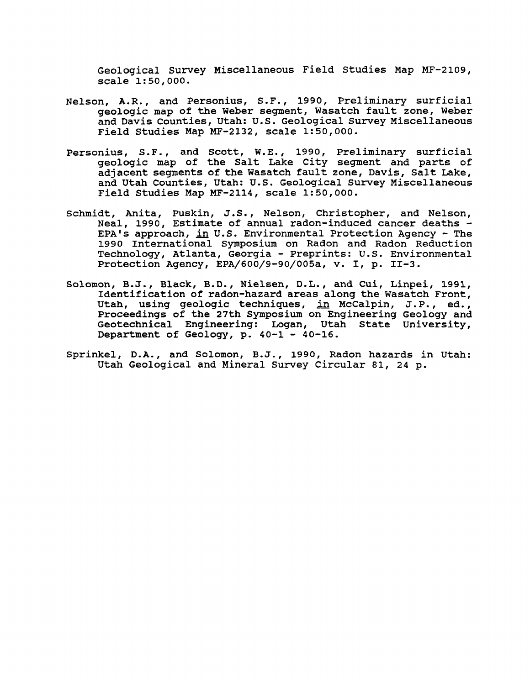Geological survey Miscellaneous Field Studies Map MF-2109, scale 1:50,000.

- Nelson, A.R., and Personius, S.F., 1990, Preliminary surficial geologic map of the Weber segment, Wasatch fault zone, Weber and Davis counties, utah: U.S. Geological Survey Miscellaneous Field Studies Map MF-2132, scale 1:50,000.
- Personius, S.F., and Scott, W.E., 1990, preliminary surficial geologic map of the Salt Lake City segment and parts of adjacent segments of the Wasatch fault zone, Davis, Salt Lake, and Utah Counties, Utah: U.S. Geological Survey Miscellaneous Field Studies Map MF-2114, scale 1:50,000.
- Schmidt, Anita, Puskin, J.S., Nelson, Christopher, and Nelson,<br>Neal, 1990, Estimate of annual radon-induced cancer deaths -EPA's approach, in U.S. Environmental Protection Agency - The 1990 International symposium on Radon and Radon Reduction Technology, Atlanta, Georgia - Preprints: U.S. Environmental Protection Agency, EPA/600/9-90/005a, v. I, p. II-3.
- Solomon, B.J., Black, B.D., Nielsen, D.L., and Cui, Linpei, 1991, Identification of radon-hazard areas along the Wasatch Front, Utah, using geologic techniques, in McCalpin, J.P., ed., Proceedings of the 27th Symposium on Engineering Geology and Geotechnical Engineering: Logan, Utah State University, Department of Geology, p. 40-1 - 40-16.
- Sprinkel, D.A., and Solomon, B.J., 1990, Radon hazards in Utah: Utah Geological and Mineral Survey Circular 81, 24 p.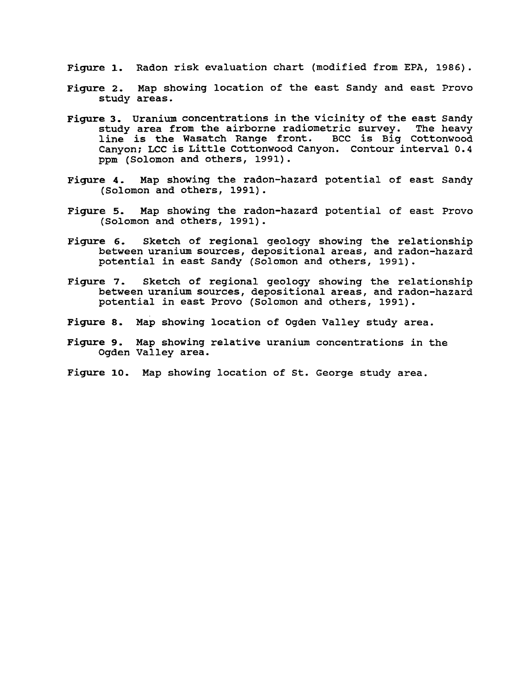Figure 1. Radon risk evaluation chart (modified from EPA, 1986).

- Figure 2. Map showing location of the east Sandy and east Provo study areas.
- Figure 3. Uranium concentrations in the vicinity of the east Sandy<br>study area from the airborne radiometric survey. The heavy study area from the airborne radiometric survey. line is the Wasatch Range front. BCC is Big cottonwood Canyon; LCC is Little Cottonwood Canyon. contour interval 0.4 ppm (Solomon and others, 1991).
- Figure 4. Map showing the radon-hazard potential of east Sandy (Solomon and others, 1991).
- Figure 5. Map showing the radon-hazard potential of east Provo (Solomon and others, 1991).
- Figure 6. Sketch of regional geology showing the relationship between uranium sources, depositional areas, and radon-hazard potential in east Sandy (Solomon and others, 1991).
- Figure 7. Sketch of regional geology showing the relationship between uranium sources, depositional areas, and radon-hazard potential in east Provo (Solomon and others, 1991).
- Figure 8. Map showing location of Ogden Valley study area.
- Figure 9. Map showing relative uranium concentrations in the Ogden Valley area.
- Figure 10. Map showing location of st. George study area.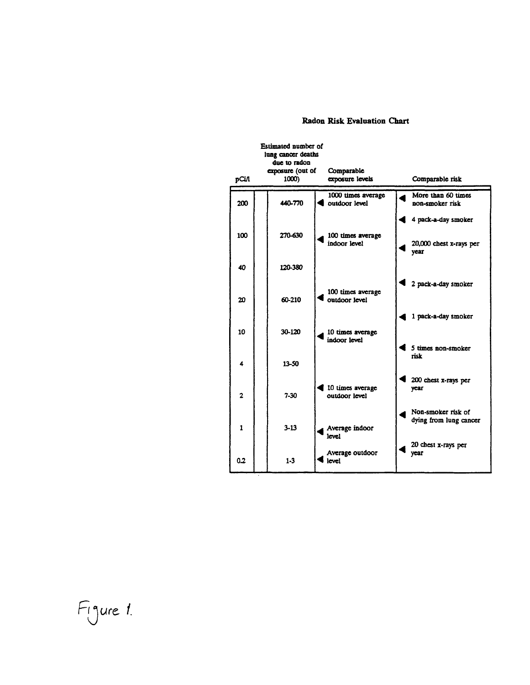## Radon Risk Evaluation Chart

|                | Estimated number of<br>lung cancer deaths |                                     |                                              |
|----------------|-------------------------------------------|-------------------------------------|----------------------------------------------|
| рСіЛ           | due to radon<br>exposure (out of<br>1000) | Comparable<br>exposure levels       | Comparable risk                              |
| 200            | 440-770                                   | 1000 times average<br>outdoor level | More than 60 times<br>non-smoker risk        |
| 100            | 270-630                                   | 100 times average                   | 4 pack-a-day smoker                          |
|                |                                           | indoor level                        | 20,000 chest x-rays per<br>year              |
| 40             | 120-380                                   |                                     |                                              |
| 20             | 60-210                                    | 100 times average<br>outdoor level  | 2 pack-a-day smoker                          |
| 10             | 30-120                                    |                                     | 1 pack-a-day smoker                          |
|                |                                           | 10 times average<br>indoor level    | 5 times non-smoker                           |
| 4              | 13-50                                     |                                     | risk                                         |
| $\overline{2}$ | $7-30$                                    | 10 times average<br>outdoor level   | 200 chest x-rays per<br>year                 |
| $\mathbf{1}$   | $3 - 13$                                  | Average indoor                      | Non-smoker risk of<br>dying from lung cancer |
|                |                                           | level                               | 20 chest x-rays per                          |
| 0.2            | $1 - 3$                                   | Average outdoor<br>level            | year                                         |

Figure 1.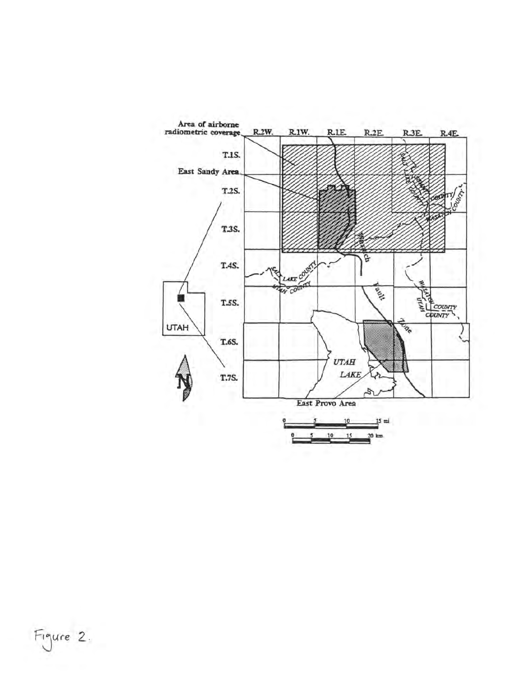

Figure 2.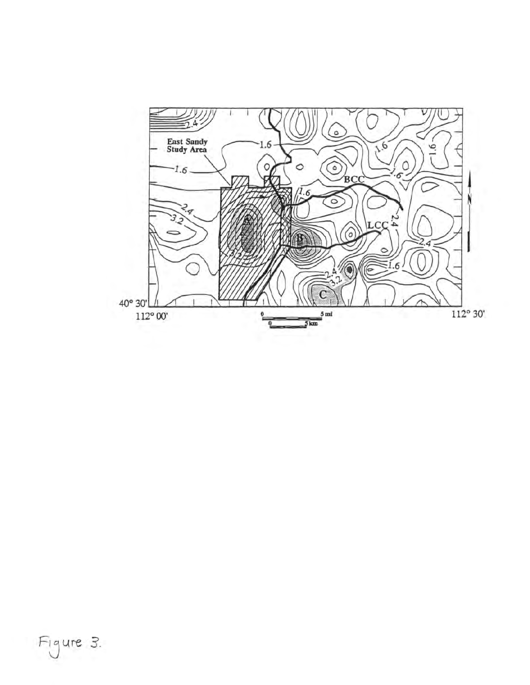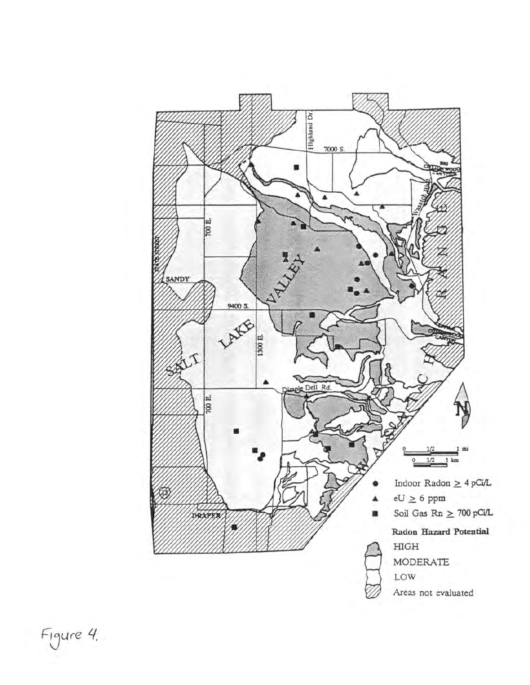

Figure 4.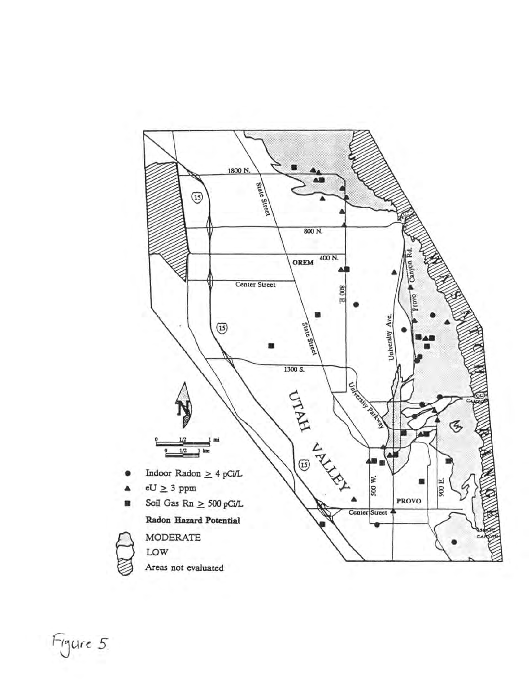

Figure 5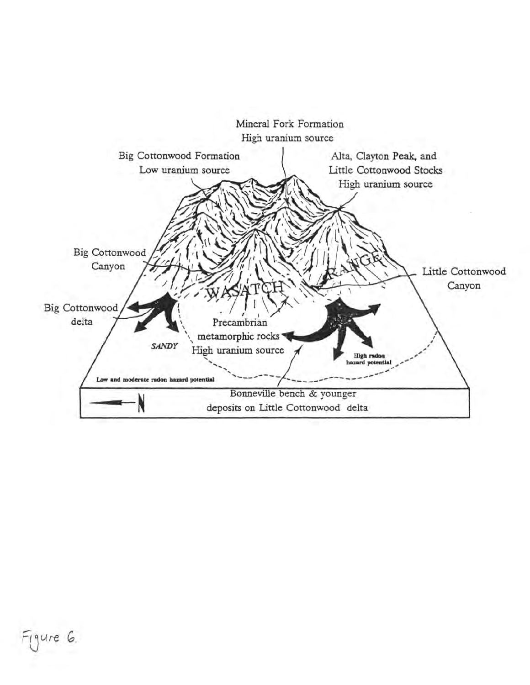

Figure G.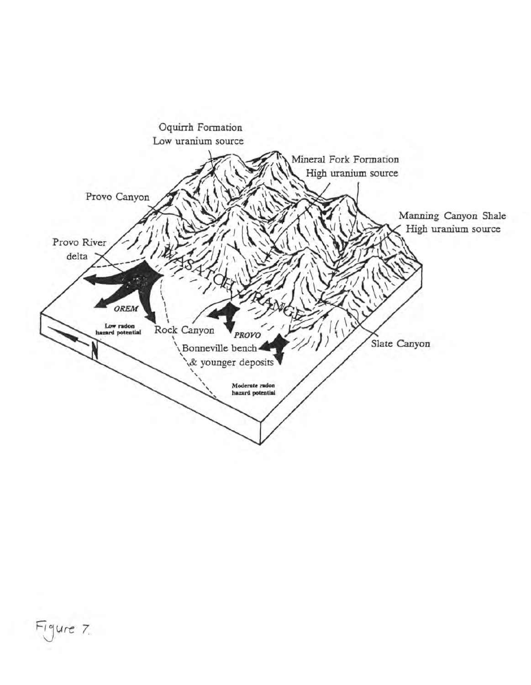

Figure 7.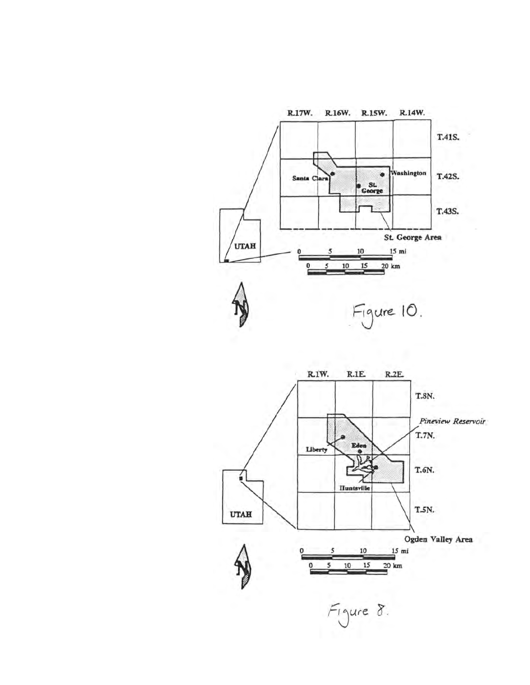